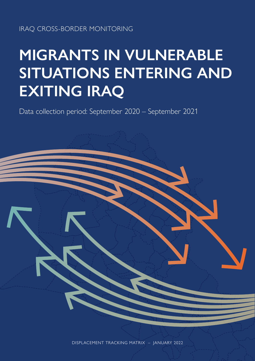### IRAQ CROSS-BORDER MONITORING

# **MIGRANTS IN VULNERABLE SITUATIONS ENTERING AND EXITING IRAQ**

Data collection period: September 2020 – September 2021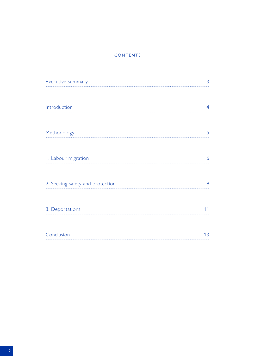### **CONTENTS**

| Executive summary                | 3  |
|----------------------------------|----|
|                                  |    |
| Introduction                     | 4  |
|                                  |    |
| Methodology                      | 5  |
|                                  |    |
| 1. Labour migration              | 6  |
|                                  |    |
| 2. Seeking safety and protection | 9  |
|                                  |    |
| 3. Deportations                  |    |
|                                  |    |
| Conclusion                       | 13 |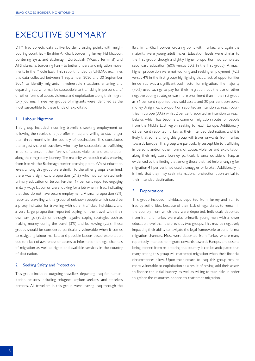# <span id="page-2-0"></span>EXECUTIVE SUMMARY

DTM Iraq collects data at five border crossing points with neighbouring countries – Ibrahim Al-Khalil, bordering Turkey, Fishkhabour, bordering Syria, and Bashmagh, Zurbatiyah (Wassit Terminal) and Al-Shalamcha, bordering Iran – to better understand migration movements in the Middle East. This report, funded by UNDAF, examines this data collected between 1 September 2020 and 30 September 2021 to identify migrants in vulnerable situations entering and departing Iraq who may be susceptible to trafficking in persons and/ or other forms of abuse, violence and exploitation along their migratory journey. Three key groups of migrants were identified as the most susceptible to these kinds of exploitation:

#### 1. Labour Migration

This group included incoming travellers seeking employment or following the receipt of a job offer in Iraq and willing to stay longer than three months in the country of destination. This constitutes the largest share of travellers who may be susceptible to trafficking in persons and/or other forms of abuse, violence and exploitation along their migratory journey. The majority were adult males entering from Iran via the Bashmagh border crossing point. Whilst education levels among this group were similar to the other groups examined, there was a significant proportion (21%) who had completed only primary education or below. Further, 17 per cent reported engaging in daily wage labour or were looking for a job when in Iraq, indicating that they do not have secure employment. A small proportion (2%) reported travelling with a group of unknown people which could be a proxy indicator for travelling with other trafficked individuals, and a very large proportion reported paying for the travel with their own savings (95%), or through negative coping strategies such as making money during the travel (3%) and borrowing (2%). These groups should be considered particularly vulnerable when it comes to navigating labour markets and possible labour-based exploitation due to a lack of awareness or access to information on legal channels of migration as well as rights and available services in the country of destination.

#### 2. Seeking Safety and Protection

This group included outgoing travellers departing Iraq for humanitarian reasons including refugees, asylum-seekers, and stateless persons. All travellers in this group were leaving Iraq through the

Ibrahim al-Khalil border crossing point with Turkey, and again the majority were young adult males. Education levels were similar to the first group, though a slightly higher proportion had completed secondary education (60% versus 50% in the first group). A much higher proportion were not working and seeking employment (42% versus 4% in the first group) highlighting that a lack of opportunities inside Iraq was a significant push factor for migration. The majority (70%) used savings to pay for their migration, but the use of other negative coping strategies was more prominent than in the first group as 31 per cent reported they sold assets and 20 per cent borrowed money. A significant proportion reported an intention to reach countries in Europe (30%) whilst 2 per cent reported an intention to reach Belarus which has become a common migration route for people from the Middle East region seeking to reach Europe. Additionally, 63 per cent reported Turkey as their intended destination, and it is likely that some among this group will travel onwards from Turkey towards Europe. This group are particularly susceptible to trafficking in persons and/or other forms of abuse, violence and exploitation along their migratory journey, particularly once outside of Iraq, as evidenced by the finding that among those that had help arranging for migration 41 per cent had used a smuggler or broker. Additionally, it is likely that they may seek international protection upon arrival to their intended destination.

#### 3. Deportations

This group included individuals deported from Turkey and Iran to Iraq by authorities, because of their lack of legal status to remain in the country from which they were deported. Individuals deported from Iran and Turkey were also primarily young men with a lower education level than the previous two groups. This may be negatively impacting their ability to navigate the legal frameworks around formal migration channels. Most were deported from Turkey where many reportedly intended to migrate onwards towards Europe, and despite being banned from re-entering the country it can be anticipated that many among this group will reattempt migration when their financial circumstances allow. Upon their return to Iraq, this group may be more vulnerable to exploitation as a result of having sold their assets to finance the initial journey, as well as willing to take risks in order to gather the resources needed to reattempt migration.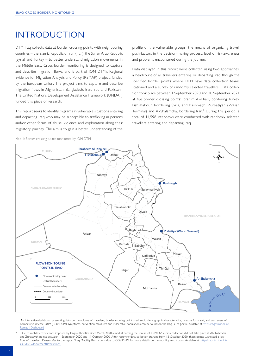# <span id="page-3-0"></span>INTRODUCTION

DTM Iraq collects data at border crossing points with neighbouring countries – the Islamic Republic of Iran (Iran), the Syrian Arab Republic (Syria) and Turkey – to better understand migration movements in the Middle East. Cross-border monitoring is designed to capture and describe migration flows, and is part of IOM DTM's Regional Evidence for Migration Analysis and Policy (REMAP) project, funded by the European Union. The project aims to capture and describe migration flows in Afghanistan, Bangladesh, Iran, Iraq and Pakistan.1 The United Nations Development Assistance Framework (UNDAF) funded this piece of research.

This report seeks to identify migrants in vulnerable situations entering and departing Iraq who may be susceptible to trafficking in persons and/or other forms of abuse, violence and exploitation along their migratory journey. The aim is to gain a better understanding of the profile of the vulnerable groups, the means of organizing travel, push-factors in the decision-making process, level of risk-awareness and problems encountered during the journey.

Data displayed in this report were collected using two approaches: a headcount of all travellers entering or departing Iraq though the specified border points where DTM have data collection teams stationed and a survey of randomly selected travellers. Data collection took place between 1 September 2020 and 30 September 2021 at five border crossing points: Ibrahim Al-Khalil, bordering Turkey, Fishkhabour, bordering Syria, and Bashmagh, Zurbatiyah (Wassit Terminal) and Al-Shalamcha, bordering Iran.2 During this period, a total of 14,598 interviews were conducted with randomly selected travellers entering and departing Iraq.





- 1 An interactive dashboard presenting data on the volume of travellers, border crossing point used, socio-demographic characteristics, reasons for travel, and awareness of coronavirus disease 2019 (COVID-19) symptoms, prevention measures and vulnerable populations can be found on the Iraq DTM portal, available at http://iraqdtm.iom.int/ Remap#Dashboard
- 2 Due to mobility restrictions imposed by Iraqi authorities since March 2020 aimed at curbing the spread of COVID-19, data collection did not take place at Al-Shalamcha and Zurbatiyah points between 1 September 2020 and 11 October 2020. After resuming data collection starting from 12 October 2020, these points witnessed a low flow of travellers. Please refer to the report 'Iraq Mobility Restrictions due to COVID-19' for more details on the mobility restrictions. Available at: [http://iraqdtm.iom.int/](http://iraqdtm.iom.int/COVID19/MovementRestrictions ) [COVID19/MovementRestrictions](http://iraqdtm.iom.int/COVID19/MovementRestrictions )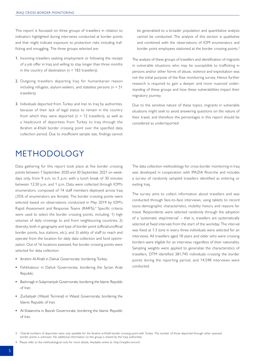<span id="page-4-0"></span>This report is focussed on three groups of travellers in relation to indicators highlighted during interviews conducted at border points and that might indicate exposure to protection risks including trafficking and smuggling. The three groups selected are:

- 1. Incoming travellers seeking employment or following the receipt of a job offer in Iraq and willing to stay longer than three months in the country of destination ( $n = 183$  travellers);
- 2. Outgoing travellers departing Iraq for humanitarian reason including refugees, asylum-seekers, and stateless persons (*n* = 51 travellers);
- 3. Individuals deported from Turkey and Iran to Iraq by authorities, because of their lack of legal status to remain in the country from which they were deported ( $n = 12$  travellers), as well as a headcount of deportees from Turkey to Iraq through the Ibrahim al-Khalil border crossing point over the specified data collection period. Due to insufficient sample size, findings cannot

be generalized to a broader population and quantitative analysis cannot be conducted. The analysis of this section is qualitative and combined with the observations of IOM enumerators and border point employees stationed at the border crossing points.<sup>3</sup>

The analysis of these groups of travellers and identification of migrants in vulnerable situations who may be susceptible to trafficking in persons and/or other forms of abuse, violence and exploitation was not the initial purpose of the flow monitoring survey. Hence further research is required to gain a deeper and more nuanced understanding of these groups and how these vulnerabilities impact their migratory journey.

Due to the sensitive nature of these topics, migrants in vulnerable situations might seek to avoid answering questions on the nature of their travel, and therefore the percentages in this report should be considered as underreported.

# METHODOLOGY

Data gathering for this report took place at five border crossing points between 1 September 2020 and 30 September 2021 on weekdays only, from 9 a.m. to 5 p.m. with a lunch break of 30 minutes between 12:30 p.m. and 1 p.m. Data were collected through IOM's enumerators, composed of 14 staff members deployed across Iraq (35% of enumerators are female). The border crossing points were selected based on observations conducted in May 2019 by IOM's Rapid Assessment and Response Teams (RARTs).<sup>4</sup> Specific criteria were used to select the border crossing points, including: 1) high volumes of daily crossings to and from neighbouring countries; 2) diversity, both in geography and type of border point (official/unofficial border points, bus stations, etc.); and 3) ability of staff to reach and operate from the location for daily data collection and fund optimization. Out of 16 locations assessed, five border crossing points were selected for data collection:

- **•** Ibrahim Al-Khalil in Dahuk Governorate, bordering Turkey;
- **•** Fishkhabour in Dahuk Governorate, bordering the Syrian Arab Republic;
- **•** Bashmagh in Sulaymaniyah Governorate, bordering the Islamic Republic of Iran;
- **•** Zurbatiyah (Wassit Terminal) in Wassit Governorate, bordering the Islamic Republic of Iran;
- **•** Al-Shalamcha in Basrah Governorate, bordering the Islamic Republic of Iran.

The data collection methodology for cross-border monitoring in Iraq was developed in cooperation with IPAZIA Ricerche and includes a survey of randomly sampled travellers identified as entering or exiting Iraq.

The survey aims to collect information about travellers and was conducted through face-to-face interviews, using tablets to record socio-demographic characteristics, mobility history and reasons for travel. Respondents were selected randomly through the adoption of a 'systematic step/interval' – that is, travellers are systematically selected at fixed intervals from the start of the workday. The interval was fixed at 1:3 (one in every three individuals were selected for an interview). All travellers aged 18 years and older who were crossing borders were eligible for an interview, regardless of their nationality. Sampling weights were applied to generalize the characteristics of travellers. DTM identified 381,745 individuals crossing the border points during the reporting period, and 14,598 interviews were conducted.

<sup>3</sup> Overall numbers of deportees were only available for the Ibrahim al Khalil border crossing point with Turkey. The number of those deported through other assessed border points is unknown. No additional information on this group is shared by the Iraqi authorities.

<sup>4</sup> Please refer to the methodological note for more details. Available online at:<http://iraqdtm.iom.int/>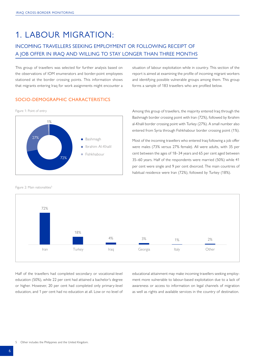# <span id="page-5-0"></span>1. LABOUR MIGRATION:

### INCOMING TRAVELLERS SEEKING EMPLOYMENT OR FOLLOWING RECEIPT OF A JOB OFFER IN IRAQ AND WILLING TO STAY LONGER THAN THREE MONTHS

This group of travellers was selected for further analysis based on the observations of IOM enumerators and border-point employees stationed at the border crossing points. This information shows that migrants entering Iraq for work assignments might encounter a

#### SOCIO-DEMOGRAPHIC CHARACTERISTICS



Figure 2: Main nationalities<sup>5</sup>

situation of labour exploitation while in country. This section of the report is aimed at examining the profile of incoming migrant workers and identifying possible vulnerable groups among them. This group forms a sample of 183 travellers who are profiled below.

Bashmagh border crossing point with Iran (72%), followed by Ibrahim al-Khalil border crossing point with Turkey (27%). A small number also entered from Syria through Fishkhabour border crossing point (1%).

Most of the incoming travellers who entered Iraq following a job offer were males (73% versus 27% female). All were adults, with 35 per cent between the ages of 18–34 years and 65 per cent aged between 35–60 years. Half of the respondents were married (50%) while 41 per cent were single and 9 per cent divorced. The main countries of habitual residence were Iran (72%), followed by Turkey (18%).



Half of the travellers had completed secondary or vocational-level education (50%), while 22 per cent had attained a bachelor's degree or higher. However, 20 per cent had completed only primary-level education, and 1 per cent had no education at all. Low or no level of educational attainment may make incoming travellers seeking employment more vulnerable to labour-based exploitation due to a lack of awareness or access to information on legal channels of migration as well as rights and available services in the country of destination.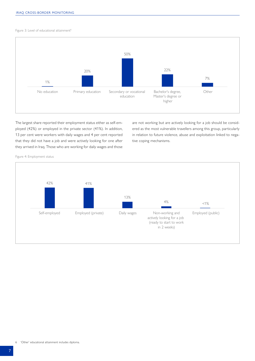Figure 3: Level of educational attainment<sup>6</sup>



The largest share reported their employment status either as self-employed (42%) or employed in the private sector (41%). In addition, 13 per cent were workers with daily wages and 4 per cent reported that they did not have a job and were actively looking for one after they arrived in Iraq. Those who are working for daily wages and those

are not working but are actively looking for a job should be considered as the most vulnerable travellers among this group, particularly in relation to future violence, abuse and exploitation linked to negative coping mechanisms.

Figure 4: Employment status

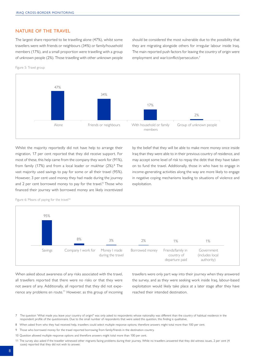### NATURE OF THE TRAVEL

The largest share reported to be travelling alone (47%), whilst some travellers were with friends or neighbours (34%) or family/household members (17%), and a small proportion were travelling with a group of unknown people (2%). Those travelling with other unknown people

should be considered the most vulnerable due to the possibility that they are migrating alongside others for irregular labour inside Iraq. The main reported push factors for leaving the country of origin were employment and war/conflict/persecution.<sup>7</sup>





Whilst the majority reportedly did not have help to arrange their migration, 17 per cent reported that they did receive support. For most of these, this help came from the company they work for (91%), from family (17%) and from a local leader or mukhtar (2%).<sup>8</sup> The vast majority used savings to pay for some or all their travel (95%). However, 3 per cent used money they had made during the journey and 2 per cent borrowed money to pay for the travel.<sup>9</sup> Those who financed their journey with borrowed money are likely incentivized

by the belief that they will be able to make more money once inside Iraq than they were able to in their previous country of residence, and may accept some level of risk to repay the debt that they have taken on to fund the travel. Additionally, those in who have to engage in income-generating activities along the way are more likely to engage in negative coping mechanisms leading to situations of violence and exploitation.

Figure 6: Means of paying for the travel<sup>10</sup>



When asked about awareness of any risks associated with the travel, all travellers reported that there were no risks or that they were not aware of any. Additionally, all reported that they did not experience any problems en route.<sup>11</sup> However, as this group of incoming travellers were only part way into their journey when they answered the survey, and as they were seeking work inside Iraq, labour-based exploitation would likely take place at a later stage after they have reached their intended destination.

8 When asked from who they had received help, travellers could select multiple response options; therefore answers might total more than 100 per cent.

- 10 Question allowed multiple response options and therefore answers might total more than 100 per cent.
- 11 The survey also asked if the traveller witnessed other migrants facing problems during their journey. While no travellers answered that they did witness issues, 2 per cent (4 cases) reported that they did not wish to answer.

The question 'What made you leave your country of origin?' was only asked to respondents whose nationality was different than the country of habitual residence in the respondent profile of the questionnaire. Due to the small number of respondents that were asked this question, this finding is qualitative.

<sup>9</sup> Those who borrowed money for the travel reported borrowing from family/friends in the destination country.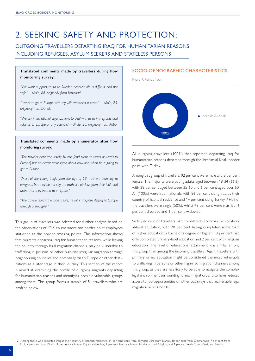# <span id="page-8-0"></span>2. SEEKING SAFETY AND PROTECTION:

OUTGOING TRAVELLERS DEPARTING IRAQ FOR HUMANITARIAN REASONS INCLUDING REFUGEES, ASYLUM SEEKERS AND STATELESS PERSONS

#### **Translated comments made by travellers during flow monitoring survey:**

*"We want support to go to Sweden because life is difficult and not safe." – Male, 68, originally from Baghdad*

*"I want to go to Europe with my wife whatever it costs." – Male, 25, originally from Dahuk*

*"We ask international organizations to deal with us as immigrants and take us to Europe or any country." – Male, 30, originally from Anbar*

#### **Translated comments made by enumerator after flow monitoring survey:**

*"The traveler departed legally by bus [and plans to travel onwards to Europe] but no details were given about how and when he is going to get to Europe."* 

*"Most of the young Iraqis from the age of 19 - 20 are planning to emigrate, but they do not say the truth. It's obvious from their look and attire that they intend to emigrate."*

*"The traveler said if the road is safe, he will immigrate illegally to Europe through a smuggler."*

This group of travellers was selected for further analysis based on the observations of IOM enumerators and border-point employees stationed at the border crossing points. This information shows that migrants departing Iraq for humanitarian reasons, while leaving the country through legal migration channels, may be vulnerable to trafficking in persons or other high-risk irregular migration through neighbouring countries and potentially on to Europe or other destinations at a later stage in their journey. This section of the report is aimed at examining the profile of outgoing migrants departing for humanitarian reasons and identifying possible vulnerable groups among them. This group forms a sample of 51 travellers who are profiled below.

#### SOCIO-DEMOGRAPHIC CHARACTERISTICS

Figure 7: Point of exit



All outgoing travellers (100%) that reported departing Iraq for humanitarian reasons departed through the Ibrahim al-Khalil border point with Turkey.

Among this group of travellers, 92 per cent were male and 8 per cent female. The majority were young adults aged between 18-34 (66%), with 28 per cent aged between 35-60 and 6 per cent aged over 60. All (100%) were Iraqi nationals, with 86 per cent citing Iraq as their country of habitual residence and 14 per cent citing Turkey.12 Half of the travellers were single (50%), whilst 43 per cent were married, 6 per cent divorced and 1 per cent widowed.

Sixty per cent of travellers had completed secondary or vocational-level education, with 20 per cent having completed some form of higher education: a bachelor's degree or higher, 18 per cent had only completed primary-level education and 2 per cent with religious education. The level of educational attainment was similar among this group than among the incoming travellers. Again, travellers with primary or no education might be considered the most vulnerable to trafficking in persons or other high-risk migration channels among this group, as they are less likely to be able to navigate the complex legal environment surrounding formal migration, and to have reduced access to job opportunities or other pathways that may enable legal migration across borders.

12 Among those who reported Iraq as their country of habitual residence, 34 per cent were from Baghdad, 33% from Dahuk, 10 per cent from Sulaimaniyah, 7 per cent from Erbil, 4 per cent from Kirkuk, 3 per cent each from Diyala and Anbar, 2 per cent from each from Muthanna and Babylon, and 1 per cent each from Wassit and Basrah.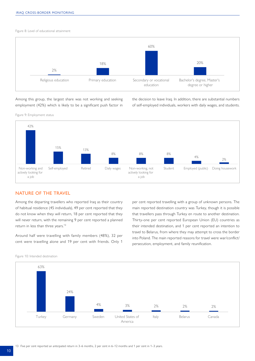Figure 8: Level of educational attainment



Among this group, the largest share was not working and seeking employment (42%) which is likely to be a significant push factor in the decision to leave Iraq. In addition, there are substantial numbers of self-employed individuals, workers with daily wages, and students.

Figure 9: Employment status



#### NATURE OF THE TRAVEL

Among the departing travellers who reported Iraq as their country of habitual residence (45 individuals), 49 per cent reported that they do not know when they will return, 18 per cent reported that they will never return, with the remaining 9 per cent reported a planned return in less than three years.<sup>13</sup>

Around half were travelling with family members (48%), 32 per cent were travelling alone and 19 per cent with friends. Only 1

per cent reported travelling with a group of unknown persons. The main reported destination country was Turkey, though it is possible that travellers pass through Turkey en route to another destination. Thirty-one per cent reported European Union (EU) countries as their intended destination, and 1 per cent reported an intention to travel to Belarus, from where they may attempt to cross the border into Poland. The main reported reasons for travel were war/conflict/ persecution, employment, and family reunification.



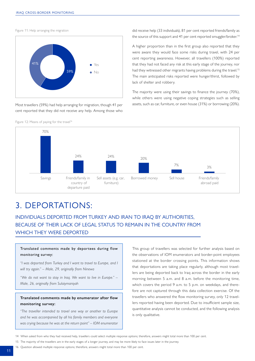<span id="page-10-0"></span>Figure 11: Help arranging the migration



Most travellers (59%) had help arranging for migration, though 41 per cent reported that they did not receive any help. Among those who

Figure 12: Means of paying for the travel<sup>16</sup>

did receive help (33 individuals), 81 per cent reported friends/family as the source of this support and 41 per cent reported smuggler/broker.<sup>14</sup>

A higher proportion than in the first group also reported that they were aware they would face some risks during travel, with 24 per cent reporting awareness. However, all travellers (100%) reported that they had not faced any risk at this early stage of the journey, nor had they witnessed other migrants having problems during the travel.<sup>15</sup> The main anticipated risks reported were hunger/thirst, followed by lack of shelter and robbery.

The majority were using their savings to finance the journey (70%), while others were using negative coping strategies such as selling assets, such as car, furniture, or even house (31%) or borrowing (20%).



# 3. DEPORTATIONS:

INDIVIDUALS DEPORTED FROM TURKEY AND IRAN TO IRAQ BY AUTHORITIES, BECAUSE OF THEIR LACK OF LEGAL STATUS TO REMAIN IN THE COUNTRY FROM WHICH THEY WERE DEPORTED

Translated comments made by deportees during flow monitoring survey:

*"I was deported from Turkey and I want to travel to Europe, and I will try again." – Male, 29, originally from Ninewa*

*"We do not want to stay in Iraq. We want to live in Europe." – Male, 26, originally from Sulaiymaniyah*

### **Translated comments made by enumerator after flow monitoring survey:**

*"The traveller intended to travel one way or another to Europe and he was accompanied by all his family members and everyone was crying because he was at the return point" – IOM enumerator*

This group of travellers was selected for further analysis based on the observations of IOM enumerators and border-point employees stationed at the border crossing points. This information shows that deportations are taking place regularly, although most travellers are being deported back to Iraq across the border in the early morning between 5 a.m. and 8 a.m. before the monitoring time, which covers the period 9 a.m. to 5 p.m. on weekdays, and therefore are not captured through this data collection exercise. Of the travellers who answered the flow monitoring survey, only 12 travellers reported having been deported. Due to insufficient sample size, quantitative analysis cannot be conducted, and the following analysis is only qualitative.

16 Question allowed multiple response options; therefore, answers might total more than 100 per cent.

<sup>14</sup> When asked from who they had received help, travellers could select multiple response options; therefore, answers might total more than 100 per cent.

<sup>15</sup> The majority of the travellers are in the early stages of a longer journey, and may be more likely to face issues later in the journey.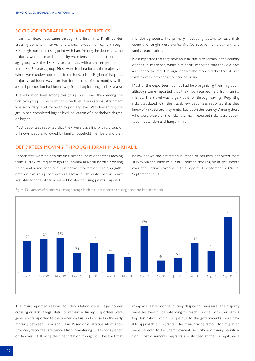### SOCIO-DEMOGRAPHIC CHARACTERISTICS

Nearly all deportees came through the Ibrahim al-Khalil border crossing point with Turkey, and a small proportion came through Bashmagh border crossing point with Iran. Among the deportees, the majority were male and a minority were female. The most common age group was the 18–34 years bracket, with a smaller proportion in the 35–60 years group. Most were Iraqi nationals, the majority of whom were understood to be from the Kurdistan Region of Iraq. The majority had been away from Iraq for a period of 3–6 months, whilst a small proportion had been away from Iraq for longer (1–3 years).

The education level among this group was lower than among the first two groups. The most common level of educational attainment was secondary level, followed by primary level. Very few among the group had completed higher level education of a bachelor's degree or higher.

Most deportees reported that they were travelling with a group of unknown people, followed by family/household members and then

friends/neighbours. The primary motivating factors to leave their country of origin were war/conflict/persecution, employment, and family reunification.

Most reported that they have no legal status to remain in the country of habitual residence, whilst a minority reported that they did have a residence permit. The largest share also reported that they do not wish to return to their country of origin.

Most of the deportees had not had help organizing their migration, although some reported that they had received help from family/ friends. The travel was largely paid for through savings. Regarding risks associated with the travel, few deportees reported that they knew of risks before they embarked upon the journey. Among those who were aware of the risks, the main reported risks were deportation, detention and hunger/thirst.

#### DEPORTEES MOVING THROUGH IBRAHIM AL-KHALIL

Border staff were able to obtain a headcount of deportees moving from Turkey to Iraq through the Ibrahim al-Khalil border crossing point, and some additional qualitative information was also gathered on this group of travellers. However, this information is not available for the other assessed border crossing points. Figure 13

below shows the estimated number of persons deported from Turkey via the Ibrahim al-Khalil border crossing point per month over the period covered in this report: 1 September 2020–30 September 2021.

Figure 13: Number of deportees passing through Ibrahim al-Khalil border crossing point into Iraq per month



The main reported reasons for deportation were illegal border crossing or lack of legal status to remain in Turkey. Deportees were generally transported to the border via bus, and crossed in the early morning between 5 a.m. and 8 a.m. Based on qualitative information provided, deportees are banned from re-entering Turkey for a period of 3–5 years following their deportation, though it is believed that many will reattempt the journey despite this measure. The majority were believed to be intending to reach Europe, with Germany a key destination within Europe due to the government's more flexible approach to migrants. The main driving factors for migration were believed to be unemployment, security, and family reunification. Most commonly, migrants are stopped at the Turkey-Greece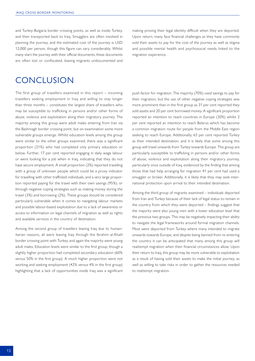<span id="page-12-0"></span>and Turkey-Bulgaria border crossing points, as well as inside Turkey, and then transported back to Iraq. Smugglers are often involved in planning the journey, and the estimated cost of the journey is USD 12,000 per person, though this figure can vary considerably. Whilst many start the journey with their official documents, these documents are often lost or confiscated, leaving migrants undocumented and

making proving their legal identity difficult when they are deported. Upon return, many face financial challenges as they have commonly sold their assets to pay for the cost of the journey as well as stigma and possible mental health and psychosocial needs linked to the migration experience.

# **CONCLUSION**

The first group of travellers examined in this report – incoming travellers seeking employment in Iraq and willing to stay longer than three months – constitutes the largest share of travellers who may be susceptible to trafficking in persons and/or other forms of abuse, violence and exploitation along their migratory journey. The majority among this group were adult males entering from Iran via the Bashmagh border crossing point, but on examination some more vulnerable groups emerge. Whilst education levels among this group were similar to the other groups examined, there was a significant proportion (21%) who had completed only primary education or below. Further, 17 per cent reported engaging in daily wage labour or were looking for a job when in Iraq, indicating that they do not have secure employment. A small proportion (2%) reported travelling with a group of unknown people which could be a proxy indicator for travelling with other trafficked individuals, and a very large proportion reported paying for the travel with their own savings (95%), or through negative coping strategies such as making money during the travel (3%) and borrowing (2%). These groups should be considered particularly vulnerable when it comes to navigating labour markets and possible labour-based exploitation due to a lack of awareness or access to information on legal channels of migration as well as rights and available services in the country of destination.

Among the second group of travellers leaving Iraq due to humanitarian reasons, all were leaving Iraq through the Ibrahim al-Khalil border crossing point with Turkey, and again the majority were young adult males. Education levels were similar to the first group, though a slightly higher proportion had completed secondary education (60% versus 50% in the first group). A much higher proportion were not working and seeking employment (42% versus 4% in the first group) highlighting that a lack of opportunities inside Iraq was a significant

push factor for migration. The majority (70%) used savings to pay for their migration, but the use of other negative coping strategies was more prominent than in the first group as 31 per cent reported they sold assets and 20 per cent borrowed money. A significant proportion reported an intention to reach countries in Europe (30%) whilst 2 per cent reported an intention to reach Belarus which has become a common migration route for people from the Middle East region seeking to reach Europe. Additionally, 63 per cent reported Turkey as their intended destination, and it is likely that some among this group will travel onwards from Turkey towards Europe. This group are particularly susceptible to trafficking in persons and/or other forms of abuse, violence and exploitation along their migratory journey, particularly once outside of Iraq, evidenced by the finding that among those that had help arranging for migration 41 per cent had used a smuggler or broker. Additionally, it is likely that they may seek international protection upon arrival to their intended destination.

Among the third group of migrants examined – individuals deported from Iran and Turkey because of their lack of legal status to remain in the country from which they were deported – findings suggest that the majority were also young men with a lower education level that the previous two groups. This may be negatively impacting their ability to navigate the legal frameworks around formal migration channels. Most were deported from Turkey where many intended to migrate onwards towards Europe, and despite being banned from re-entering the country it can be anticipated that many among this group will reattempt migration when their financial circumstances allow. Upon their return to Iraq, this group may be more vulnerable to exploitation as a result of having sold their assets to make the initial journey, as well as willing to take risks in order to gather the resources needed to reattempt migration.